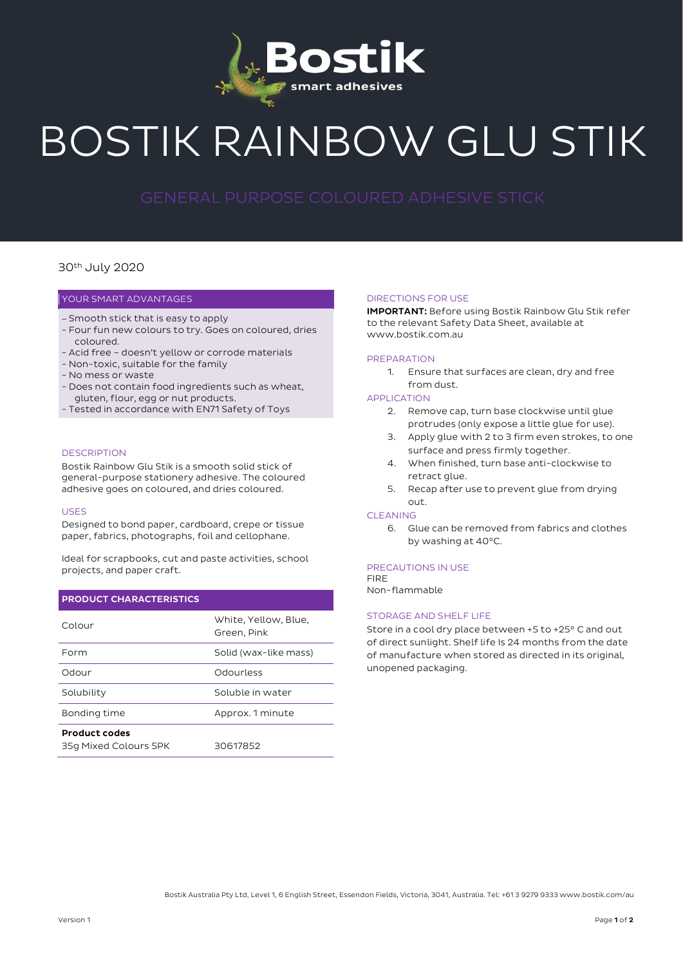

# BOSTIK RAINBOW GLU STIK

### 30th July 2020

#### YOUR SMART ADVANTAGES

- Smooth stick that is easy to apply
- Four fun new colours to try. Goes on coloured, dries coloured.
- Acid free doesn't yellow or corrode materials
- Non-toxic, suitable for the family
- No mess or waste
- Does not contain food ingredients such as wheat, gluten, flour, egg or nut products.
- Tested in accordance with EN71 Safety of Toys

#### **DESCRIPTION**

Bostik Rainbow Glu Stik is a smooth solid stick of general-purpose stationery adhesive. The coloured adhesive goes on coloured, and dries coloured.

#### USES

Designed to bond paper, cardboard, crepe or tissue paper, fabrics, photographs, foil and cellophane.

Ideal for scrapbooks, cut and paste activities, school projects, and paper craft.

#### PRODUCT CHARACTERISTICS

| Colour                | White, Yellow, Blue,<br>Green, Pink |
|-----------------------|-------------------------------------|
| Form                  | Solid (wax-like mass)               |
| Odour                 | Odourless                           |
| Solubility            | Soluble in water                    |
| Bonding time          | Approx. 1 minute                    |
| <b>Product codes</b>  |                                     |
| 35g Mixed Colours 5PK | 30617852                            |

#### DIRECTIONS FOR USE

IMPORTANT: Before using Bostik Rainbow Glu Stik refer to the relevant Safety Data Sheet, available at www.bostik.com.au

#### PREPARATION

1. Ensure that surfaces are clean, dry and free from dust.

#### APPLICATION

- 2. Remove cap, turn base clockwise until glue protrudes (only expose a little glue for use).
- 3. Apply glue with 2 to 3 firm even strokes, to one surface and press firmly together.
- 4. When finished, turn base anti-clockwise to retract glue.
- 5. Recap after use to prevent glue from drying out.

#### CLEANING

6. Glue can be removed from fabrics and clothes by washing at 40°C.

#### PRECAUTIONS IN USE

FIRE Non-flammable

#### STORAGE AND SHELF LIFE

Store in a cool dry place between +5 to +25° C and out of direct sunlight. Shelf life Is 24 months from the date of manufacture when stored as directed in its original, unopened packaging.